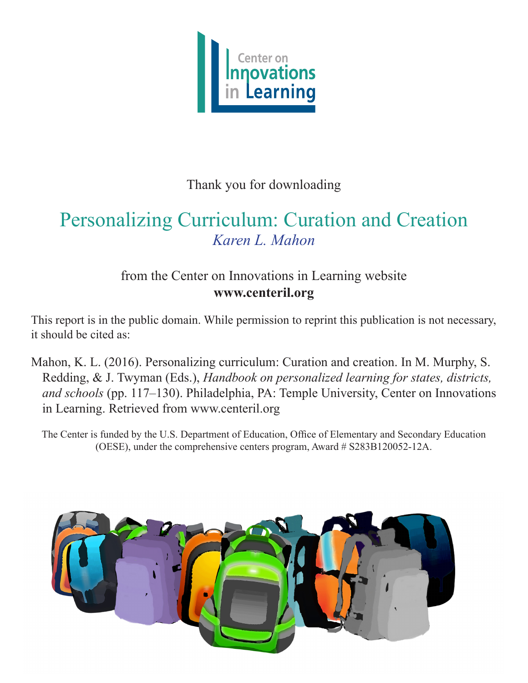

# Thank you for downloading

# Personalizing Curriculum: Curation and Creation *Karen L. Mahon*

# from the Center on Innovations in Learning website **www.centeril.org**

This report is in the public domain. While permission to reprint this publication is not necessary, it should be cited as:

Mahon, K. L. (2016). Personalizing curriculum: Curation and creation. In M. Murphy, S. Redding, & J. Twyman (Eds.), *Handbook on personalized learning for states, districts, and schools* (pp. 117–130). Philadelphia, PA: Temple University, Center on Innovations in Learning. Retrieved from www.centeril.org

The Center is funded by the U.S. Department of Education, Office of Elementary and Secondary Education (OESE), under the comprehensive centers program, Award # S283B120052-12A.

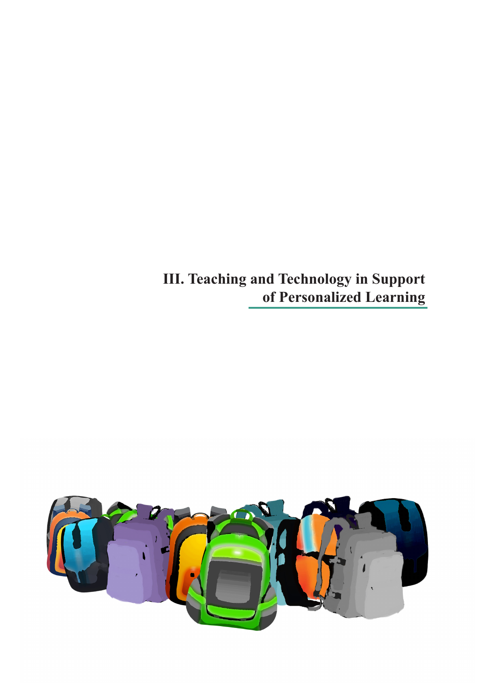**III. Teaching and Technology in Support of Personalized Learning**

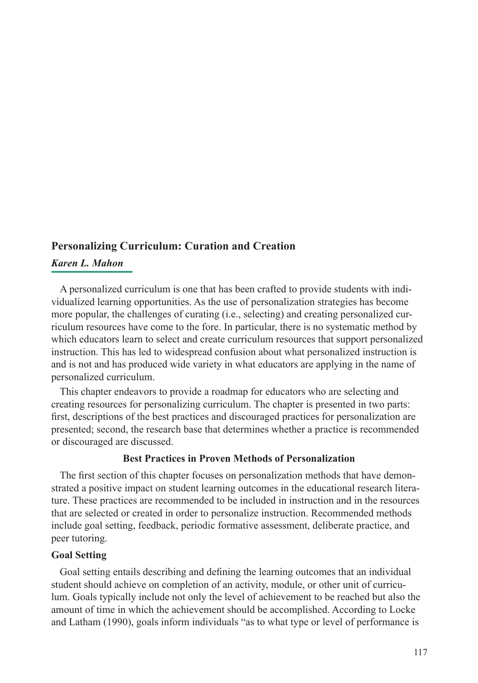# **Personalizing Curriculum: Curation and Creation**

# *Karen L. Mahon*

A personalized curriculum is one that has been crafted to provide students with individualized learning opportunities. As the use of personalization strategies has become more popular, the challenges of curating (i.e., selecting) and creating personalized curriculum resources have come to the fore. In particular, there is no systematic method by which educators learn to select and create curriculum resources that support personalized instruction. This has led to widespread confusion about what personalized instruction is and is not and has produced wide variety in what educators are applying in the name of personalized curriculum.

This chapter endeavors to provide a roadmap for educators who are selecting and creating resources for personalizing curriculum. The chapter is presented in two parts: first, descriptions of the best practices and discouraged practices for personalization are presented; second, the research base that determines whether a practice is recommended or discouraged are discussed.

# **Best Practices in Proven Methods of Personalization**

The first section of this chapter focuses on personalization methods that have demonstrated a positive impact on student learning outcomes in the educational research literature. These practices are recommended to be included in instruction and in the resources that are selected or created in order to personalize instruction. Recommended methods include goal setting, feedback, periodic formative assessment, deliberate practice, and peer tutoring.

# **Goal Setting**

Goal setting entails describing and defining the learning outcomes that an individual student should achieve on completion of an activity, module, or other unit of curriculum. Goals typically include not only the level of achievement to be reached but also the amount of time in which the achievement should be accomplished. According to Locke and Latham (1990), goals inform individuals "as to what type or level of performance is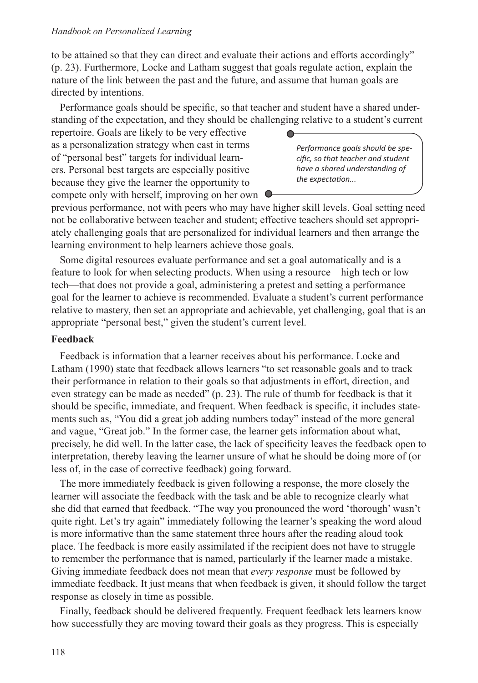to be attained so that they can direct and evaluate their actions and efforts accordingly" (p. 23). Furthermore, Locke and Latham suggest that goals regulate action, explain the nature of the link between the past and the future, and assume that human goals are directed by intentions.

Performance goals should be specific, so that teacher and student have a shared understanding of the expectation, and they should be challenging relative to a student's current

repertoire. Goals are likely to be very effective as a personalization strategy when cast in terms of "personal best" targets for individual learners. Personal best targets are especially positive because they give the learner the opportunity to compete only with herself, improving on her own

*Performance goals should be specific, so that teacher and student have a shared understanding of the expectation...*

previous performance, not with peers who may have higher skill levels. Goal setting need not be collaborative between teacher and student; effective teachers should set appropriately challenging goals that are personalized for individual learners and then arrange the learning environment to help learners achieve those goals.

Some digital resources evaluate performance and set a goal automatically and is a feature to look for when selecting products. When using a resource—high tech or low tech—that does not provide a goal, administering a pretest and setting a performance goal for the learner to achieve is recommended. Evaluate a student's current performance relative to mastery, then set an appropriate and achievable, yet challenging, goal that is an appropriate "personal best," given the student's current level.

#### **Feedback**

Feedback is information that a learner receives about his performance. Locke and Latham (1990) state that feedback allows learners "to set reasonable goals and to track their performance in relation to their goals so that adjustments in effort, direction, and even strategy can be made as needed" (p. 23). The rule of thumb for feedback is that it should be specific, immediate, and frequent. When feedback is specific, it includes statements such as, "You did a great job adding numbers today" instead of the more general and vague, "Great job." In the former case, the learner gets information about what, precisely, he did well. In the latter case, the lack of specificity leaves the feedback open to interpretation, thereby leaving the learner unsure of what he should be doing more of (or less of, in the case of corrective feedback) going forward.

The more immediately feedback is given following a response, the more closely the learner will associate the feedback with the task and be able to recognize clearly what she did that earned that feedback. "The way you pronounced the word 'thorough' wasn't quite right. Let's try again" immediately following the learner's speaking the word aloud is more informative than the same statement three hours after the reading aloud took place. The feedback is more easily assimilated if the recipient does not have to struggle to remember the performance that is named, particularly if the learner made a mistake. Giving immediate feedback does not mean that *every response* must be followed by immediate feedback. It just means that when feedback is given, it should follow the target response as closely in time as possible.

Finally, feedback should be delivered frequently. Frequent feedback lets learners know how successfully they are moving toward their goals as they progress. This is especially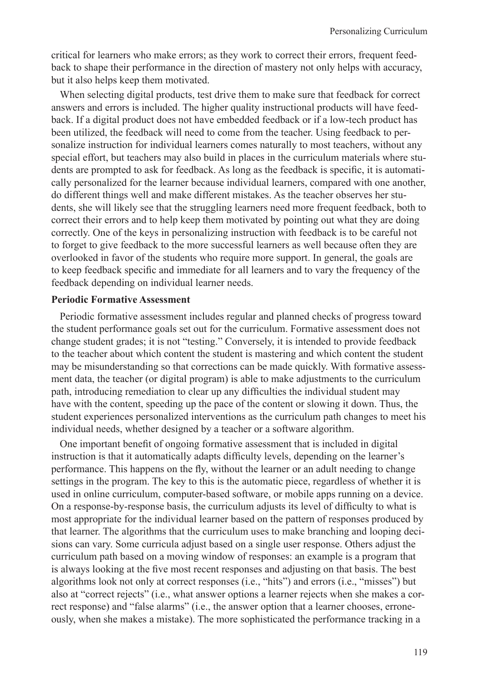critical for learners who make errors; as they work to correct their errors, frequent feedback to shape their performance in the direction of mastery not only helps with accuracy, but it also helps keep them motivated.

When selecting digital products, test drive them to make sure that feedback for correct answers and errors is included. The higher quality instructional products will have feedback. If a digital product does not have embedded feedback or if a low-tech product has been utilized, the feedback will need to come from the teacher. Using feedback to personalize instruction for individual learners comes naturally to most teachers, without any special effort, but teachers may also build in places in the curriculum materials where students are prompted to ask for feedback. As long as the feedback is specific, it is automatically personalized for the learner because individual learners, compared with one another, do different things well and make different mistakes. As the teacher observes her students, she will likely see that the struggling learners need more frequent feedback, both to correct their errors and to help keep them motivated by pointing out what they are doing correctly. One of the keys in personalizing instruction with feedback is to be careful not to forget to give feedback to the more successful learners as well because often they are overlooked in favor of the students who require more support. In general, the goals are to keep feedback specific and immediate for all learners and to vary the frequency of the feedback depending on individual learner needs.

#### **Periodic Formative Assessment**

Periodic formative assessment includes regular and planned checks of progress toward the student performance goals set out for the curriculum. Formative assessment does not change student grades; it is not "testing." Conversely, it is intended to provide feedback to the teacher about which content the student is mastering and which content the student may be misunderstanding so that corrections can be made quickly. With formative assessment data, the teacher (or digital program) is able to make adjustments to the curriculum path, introducing remediation to clear up any difficulties the individual student may have with the content, speeding up the pace of the content or slowing it down. Thus, the student experiences personalized interventions as the curriculum path changes to meet his individual needs, whether designed by a teacher or a software algorithm.

One important benefit of ongoing formative assessment that is included in digital instruction is that it automatically adapts difficulty levels, depending on the learner's performance. This happens on the fly, without the learner or an adult needing to change settings in the program. The key to this is the automatic piece, regardless of whether it is used in online curriculum, computer-based software, or mobile apps running on a device. On a response-by-response basis, the curriculum adjusts its level of difficulty to what is most appropriate for the individual learner based on the pattern of responses produced by that learner. The algorithms that the curriculum uses to make branching and looping decisions can vary. Some curricula adjust based on a single user response. Others adjust the curriculum path based on a moving window of responses: an example is a program that is always looking at the five most recent responses and adjusting on that basis. The best algorithms look not only at correct responses (i.e., "hits") and errors (i.e., "misses") but also at "correct rejects" (i.e., what answer options a learner rejects when she makes a correct response) and "false alarms" (i.e., the answer option that a learner chooses, erroneously, when she makes a mistake). The more sophisticated the performance tracking in a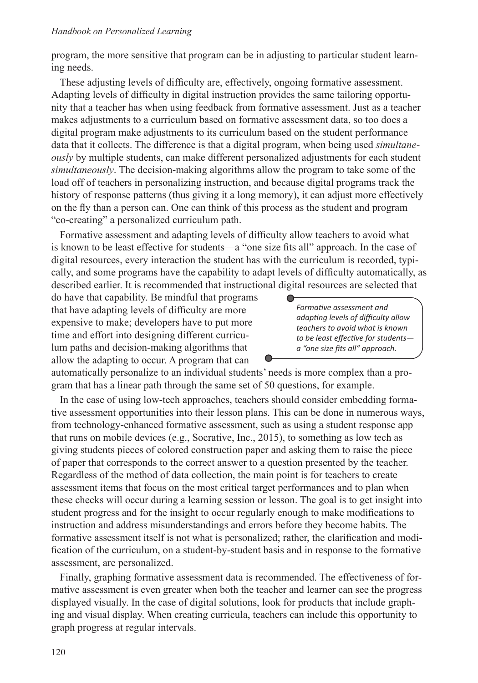program, the more sensitive that program can be in adjusting to particular student learning needs.

These adjusting levels of difficulty are, effectively, ongoing formative assessment. Adapting levels of difficulty in digital instruction provides the same tailoring opportunity that a teacher has when using feedback from formative assessment. Just as a teacher makes adjustments to a curriculum based on formative assessment data, so too does a digital program make adjustments to its curriculum based on the student performance data that it collects. The difference is that a digital program, when being used *simultaneously* by multiple students, can make different personalized adjustments for each student *simultaneously*. The decision-making algorithms allow the program to take some of the load off of teachers in personalizing instruction, and because digital programs track the history of response patterns (thus giving it a long memory), it can adjust more effectively on the fly than a person can. One can think of this process as the student and program "co-creating" a personalized curriculum path.

Formative assessment and adapting levels of difficulty allow teachers to avoid what is known to be least effective for students—a "one size fits all" approach. In the case of digital resources, every interaction the student has with the curriculum is recorded, typically, and some programs have the capability to adapt levels of difficulty automatically, as described earlier. It is recommended that instructional digital resources are selected that

do have that capability. Be mindful that programs that have adapting levels of difficulty are more expensive to make; developers have to put more time and effort into designing different curriculum paths and decision-making algorithms that allow the adapting to occur. A program that can

*Formative assessment and adapting levels of difficulty allow teachers to avoid what is known to be least effective for students a "one size fits all" approach.*

automatically personalize to an individual students' needs is more complex than a program that has a linear path through the same set of 50 questions, for example.

In the case of using low-tech approaches, teachers should consider embedding formative assessment opportunities into their lesson plans. This can be done in numerous ways, from technology-enhanced formative assessment, such as using a student response app that runs on mobile devices (e.g., Socrative, Inc., 2015), to something as low tech as giving students pieces of colored construction paper and asking them to raise the piece of paper that corresponds to the correct answer to a question presented by the teacher. Regardless of the method of data collection, the main point is for teachers to create assessment items that focus on the most critical target performances and to plan when these checks will occur during a learning session or lesson. The goal is to get insight into student progress and for the insight to occur regularly enough to make modifications to instruction and address misunderstandings and errors before they become habits. The formative assessment itself is not what is personalized; rather, the clarification and modification of the curriculum, on a student-by-student basis and in response to the formative assessment, are personalized.

Finally, graphing formative assessment data is recommended. The effectiveness of formative assessment is even greater when both the teacher and learner can see the progress displayed visually. In the case of digital solutions, look for products that include graphing and visual display. When creating curricula, teachers can include this opportunity to graph progress at regular intervals.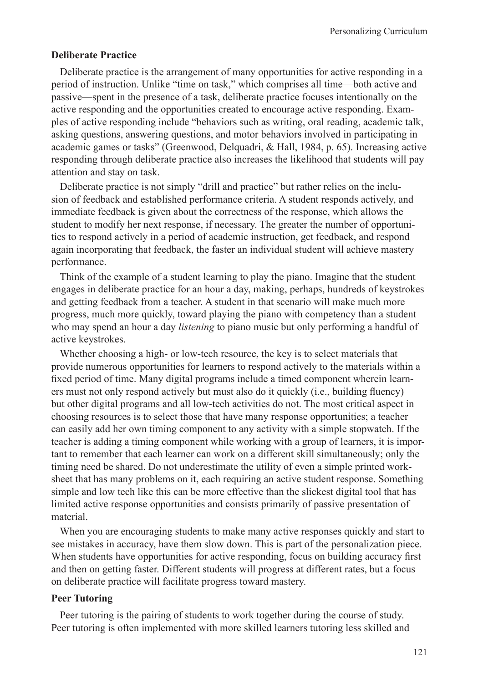# **Deliberate Practice**

Deliberate practice is the arrangement of many opportunities for active responding in a period of instruction. Unlike "time on task," which comprises all time—both active and passive—spent in the presence of a task, deliberate practice focuses intentionally on the active responding and the opportunities created to encourage active responding. Examples of active responding include "behaviors such as writing, oral reading, academic talk, asking questions, answering questions, and motor behaviors involved in participating in academic games or tasks" (Greenwood, Delquadri, & Hall, 1984, p. 65). Increasing active responding through deliberate practice also increases the likelihood that students will pay attention and stay on task.

Deliberate practice is not simply "drill and practice" but rather relies on the inclusion of feedback and established performance criteria. A student responds actively, and immediate feedback is given about the correctness of the response, which allows the student to modify her next response, if necessary. The greater the number of opportunities to respond actively in a period of academic instruction, get feedback, and respond again incorporating that feedback, the faster an individual student will achieve mastery performance.

Think of the example of a student learning to play the piano. Imagine that the student engages in deliberate practice for an hour a day, making, perhaps, hundreds of keystrokes and getting feedback from a teacher. A student in that scenario will make much more progress, much more quickly, toward playing the piano with competency than a student who may spend an hour a day *listening* to piano music but only performing a handful of active keystrokes.

Whether choosing a high- or low-tech resource, the key is to select materials that provide numerous opportunities for learners to respond actively to the materials within a fixed period of time. Many digital programs include a timed component wherein learners must not only respond actively but must also do it quickly (i.e., building fluency) but other digital programs and all low-tech activities do not. The most critical aspect in choosing resources is to select those that have many response opportunities; a teacher can easily add her own timing component to any activity with a simple stopwatch. If the teacher is adding a timing component while working with a group of learners, it is important to remember that each learner can work on a different skill simultaneously; only the timing need be shared. Do not underestimate the utility of even a simple printed worksheet that has many problems on it, each requiring an active student response. Something simple and low tech like this can be more effective than the slickest digital tool that has limited active response opportunities and consists primarily of passive presentation of material.

When you are encouraging students to make many active responses quickly and start to see mistakes in accuracy, have them slow down. This is part of the personalization piece. When students have opportunities for active responding, focus on building accuracy first and then on getting faster. Different students will progress at different rates, but a focus on deliberate practice will facilitate progress toward mastery.

# **Peer Tutoring**

Peer tutoring is the pairing of students to work together during the course of study. Peer tutoring is often implemented with more skilled learners tutoring less skilled and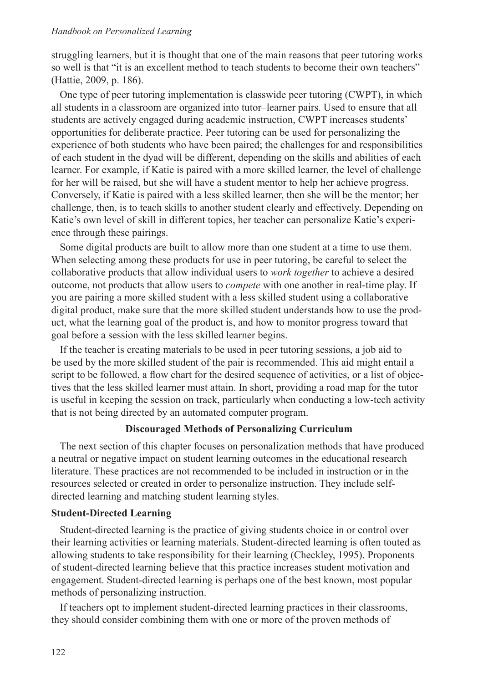struggling learners, but it is thought that one of the main reasons that peer tutoring works so well is that "it is an excellent method to teach students to become their own teachers" (Hattie, 2009, p. 186).

One type of peer tutoring implementation is classwide peer tutoring (CWPT), in which all students in a classroom are organized into tutor–learner pairs. Used to ensure that all students are actively engaged during academic instruction, CWPT increases students' opportunities for deliberate practice. Peer tutoring can be used for personalizing the experience of both students who have been paired; the challenges for and responsibilities of each student in the dyad will be different, depending on the skills and abilities of each learner. For example, if Katie is paired with a more skilled learner, the level of challenge for her will be raised, but she will have a student mentor to help her achieve progress. Conversely, if Katie is paired with a less skilled learner, then she will be the mentor; her challenge, then, is to teach skills to another student clearly and effectively. Depending on Katie's own level of skill in different topics, her teacher can personalize Katie's experience through these pairings.

Some digital products are built to allow more than one student at a time to use them. When selecting among these products for use in peer tutoring, be careful to select the collaborative products that allow individual users to *work together* to achieve a desired outcome, not products that allow users to *compete* with one another in real-time play. If you are pairing a more skilled student with a less skilled student using a collaborative digital product, make sure that the more skilled student understands how to use the product, what the learning goal of the product is, and how to monitor progress toward that goal before a session with the less skilled learner begins.

If the teacher is creating materials to be used in peer tutoring sessions, a job aid to be used by the more skilled student of the pair is recommended. This aid might entail a script to be followed, a flow chart for the desired sequence of activities, or a list of objectives that the less skilled learner must attain. In short, providing a road map for the tutor is useful in keeping the session on track, particularly when conducting a low-tech activity that is not being directed by an automated computer program.

# **Discouraged Methods of Personalizing Curriculum**

The next section of this chapter focuses on personalization methods that have produced a neutral or negative impact on student learning outcomes in the educational research literature. These practices are not recommended to be included in instruction or in the resources selected or created in order to personalize instruction. They include selfdirected learning and matching student learning styles.

# **Student-Directed Learning**

Student-directed learning is the practice of giving students choice in or control over their learning activities or learning materials. Student-directed learning is often touted as allowing students to take responsibility for their learning (Checkley, 1995). Proponents of student-directed learning believe that this practice increases student motivation and engagement. Student-directed learning is perhaps one of the best known, most popular methods of personalizing instruction.

If teachers opt to implement student-directed learning practices in their classrooms, they should consider combining them with one or more of the proven methods of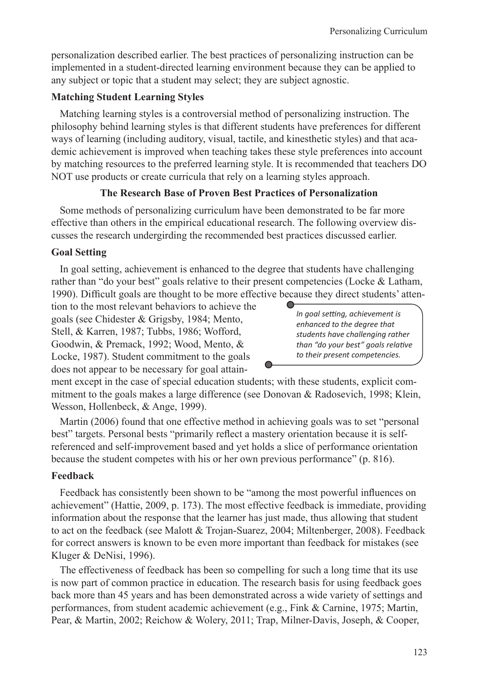personalization described earlier. The best practices of personalizing instruction can be implemented in a student-directed learning environment because they can be applied to any subject or topic that a student may select; they are subject agnostic.

# **Matching Student Learning Styles**

Matching learning styles is a controversial method of personalizing instruction. The philosophy behind learning styles is that different students have preferences for different ways of learning (including auditory, visual, tactile, and kinesthetic styles) and that academic achievement is improved when teaching takes these style preferences into account by matching resources to the preferred learning style. It is recommended that teachers DO NOT use products or create curricula that rely on a learning styles approach.

# **The Research Base of Proven Best Practices of Personalization**

Some methods of personalizing curriculum have been demonstrated to be far more effective than others in the empirical educational research. The following overview discusses the research undergirding the recommended best practices discussed earlier.

# **Goal Setting**

In goal setting, achievement is enhanced to the degree that students have challenging rather than "do your best" goals relative to their present competencies (Locke & Latham, 1990). Difficult goals are thought to be more effective because they direct students' atten-

tion to the most relevant behaviors to achieve the goals (see Chidester & Grigsby, 1984; Mento, Stell, & Karren, 1987; Tubbs, 1986; Wofford, Goodwin, & Premack, 1992; Wood, Mento, & Locke, 1987). Student commitment to the goals does not appear to be necessary for goal attain-

*In goal setting, achievement is enhanced to the degree that students have challenging rather than "do your best" goals relative to their present competencies.*

ment except in the case of special education students; with these students, explicit commitment to the goals makes a large difference (see Donovan & Radosevich, 1998; Klein, Wesson, Hollenbeck, & Ange, 1999).

Martin (2006) found that one effective method in achieving goals was to set "personal best" targets. Personal bests "primarily reflect a mastery orientation because it is selfreferenced and self-improvement based and yet holds a slice of performance orientation because the student competes with his or her own previous performance" (p. 816).

# **Feedback**

Feedback has consistently been shown to be "among the most powerful influences on achievement" (Hattie, 2009, p. 173). The most effective feedback is immediate, providing information about the response that the learner has just made, thus allowing that student to act on the feedback (see Malott & Trojan-Suarez, 2004; Miltenberger, 2008). Feedback for correct answers is known to be even more important than feedback for mistakes (see Kluger & DeNisi, 1996).

The effectiveness of feedback has been so compelling for such a long time that its use is now part of common practice in education. The research basis for using feedback goes back more than 45 years and has been demonstrated across a wide variety of settings and performances, from student academic achievement (e.g., Fink & Carnine, 1975; Martin, Pear, & Martin, 2002; Reichow & Wolery, 2011; Trap, Milner-Davis, Joseph, & Cooper,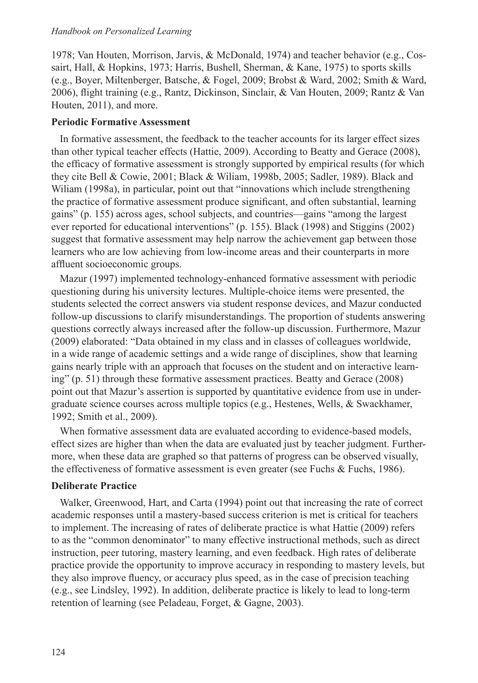1978; Van Houten, Morrison, Jarvis, & McDonald, 1974) and teacher behavior (e.g., Cossairt, Hall, & Hopkins, 1973; Harris, Bushell, Sherman, & Kane, 1975) to sports skills (e.g., Boyer, Miltenberger, Batsche, & Fogel, 2009; Brobst & Ward, 2002; Smith & Ward, 2006), flight training (e.g., Rantz, Dickinson, Sinclair, & Van Houten, 2009; Rantz & Van Houten, 2011), and more.

# **Periodic Formative Assessment**

In formative assessment, the feedback to the teacher accounts for its larger effect sizes than other typical teacher effects (Hattie, 2009). According to Beatty and Gerace (2008), the efficacy of formative assessment is strongly supported by empirical results (for which they cite Bell & Cowie, 2001; Black & Wiliam, 1998b, 2005; Sadler, 1989). Black and Wiliam (1998a), in particular, point out that "innovations which include strengthening the practice of formative assessment produce significant, and often substantial, learning gains" (p. 155) across ages, school subjects, and countries—gains "among the largest ever reported for educational interventions" (p. 155). Black (1998) and Stiggins (2002) suggest that formative assessment may help narrow the achievement gap between those learners who are low achieving from low-income areas and their counterparts in more affluent socioeconomic groups.

Mazur (1997) implemented technology-enhanced formative assessment with periodic questioning during his university lectures. Multiple-choice items were presented, the students selected the correct answers via student response devices, and Mazur conducted follow-up discussions to clarify misunderstandings. The proportion of students answering questions correctly always increased after the follow-up discussion. Furthermore, Mazur (2009) elaborated: "Data obtained in my class and in classes of colleagues worldwide, in a wide range of academic settings and a wide range of disciplines, show that learning gains nearly triple with an approach that focuses on the student and on interactive learning" (p. 51) through these formative assessment practices. Beatty and Gerace (2008) point out that Mazur's assertion is supported by quantitative evidence from use in undergraduate science courses across multiple topics (e.g., Hestenes, Wells, & Swackhamer, 1992; Smith et al., 2009).

When formative assessment data are evaluated according to evidence-based models, effect sizes are higher than when the data are evaluated just by teacher judgment. Furthermore, when these data are graphed so that patterns of progress can be observed visually, the effectiveness of formative assessment is even greater (see Fuchs & Fuchs, 1986).

# **Deliberate Practice**

Walker, Greenwood, Hart, and Carta (1994) point out that increasing the rate of correct academic responses until a mastery-based success criterion is met is critical for teachers to implement. The increasing of rates of deliberate practice is what Hattie (2009) refers to as the "common denominator" to many effective instructional methods, such as direct instruction, peer tutoring, mastery learning, and even feedback. High rates of deliberate practice provide the opportunity to improve accuracy in responding to mastery levels, but they also improve fluency, or accuracy plus speed, as in the case of precision teaching (e.g., see Lindsley, 1992). In addition, deliberate practice is likely to lead to long-term retention of learning (see Peladeau, Forget, & Gagne, 2003).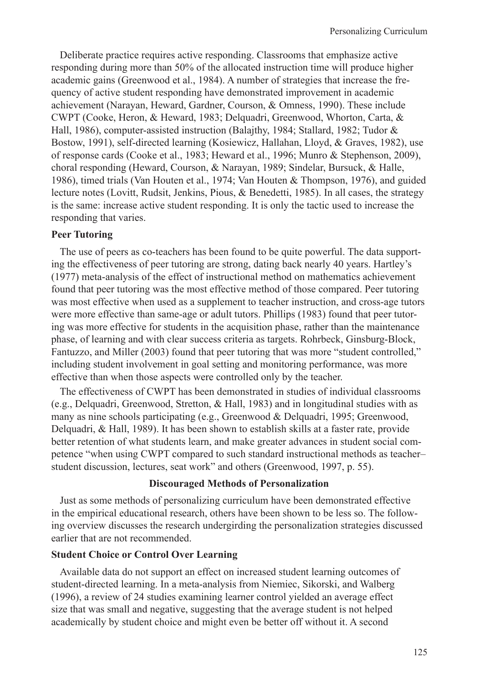Deliberate practice requires active responding. Classrooms that emphasize active responding during more than 50% of the allocated instruction time will produce higher academic gains (Greenwood et al., 1984). A number of strategies that increase the frequency of active student responding have demonstrated improvement in academic achievement (Narayan, Heward, Gardner, Courson, & Omness, 1990). These include CWPT (Cooke, Heron, & Heward, 1983; Delquadri, Greenwood, Whorton, Carta, & Hall, 1986), computer-assisted instruction (Balajthy, 1984; Stallard, 1982; Tudor & Bostow, 1991), self-directed learning (Kosiewicz, Hallahan, Lloyd, & Graves, 1982), use of response cards (Cooke et al., 1983; Heward et al., 1996; Munro & Stephenson, 2009), choral responding (Heward, Courson, & Narayan, 1989; Sindelar, Bursuck, & Halle, 1986), timed trials (Van Houten et al., 1974; Van Houten & Thompson, 1976), and guided lecture notes (Lovitt, Rudsit, Jenkins, Pious, & Benedetti, 1985). In all cases, the strategy is the same: increase active student responding. It is only the tactic used to increase the responding that varies.

# **Peer Tutoring**

The use of peers as co-teachers has been found to be quite powerful. The data supporting the effectiveness of peer tutoring are strong, dating back nearly 40 years. Hartley's (1977) meta-analysis of the effect of instructional method on mathematics achievement found that peer tutoring was the most effective method of those compared. Peer tutoring was most effective when used as a supplement to teacher instruction, and cross-age tutors were more effective than same-age or adult tutors. Phillips (1983) found that peer tutoring was more effective for students in the acquisition phase, rather than the maintenance phase, of learning and with clear success criteria as targets. Rohrbeck, Ginsburg-Block, Fantuzzo, and Miller (2003) found that peer tutoring that was more "student controlled," including student involvement in goal setting and monitoring performance, was more effective than when those aspects were controlled only by the teacher.

The effectiveness of CWPT has been demonstrated in studies of individual classrooms (e.g., Delquadri, Greenwood, Stretton, & Hall, 1983) and in longitudinal studies with as many as nine schools participating (e.g., Greenwood & Delquadri, 1995; Greenwood, Delquadri, & Hall, 1989). It has been shown to establish skills at a faster rate, provide better retention of what students learn, and make greater advances in student social competence "when using CWPT compared to such standard instructional methods as teacher– student discussion, lectures, seat work" and others (Greenwood, 1997, p. 55).

# **Discouraged Methods of Personalization**

Just as some methods of personalizing curriculum have been demonstrated effective in the empirical educational research, others have been shown to be less so. The following overview discusses the research undergirding the personalization strategies discussed earlier that are not recommended.

#### **Student Choice or Control Over Learning**

Available data do not support an effect on increased student learning outcomes of student-directed learning. In a meta-analysis from Niemiec, Sikorski, and Walberg (1996), a review of 24 studies examining learner control yielded an average effect size that was small and negative, suggesting that the average student is not helped academically by student choice and might even be better off without it. A second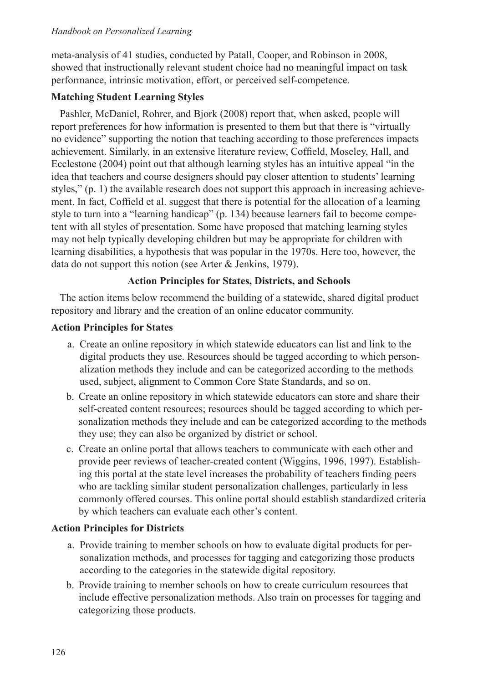meta-analysis of 41 studies, conducted by Patall, Cooper, and Robinson in 2008, showed that instructionally relevant student choice had no meaningful impact on task performance, intrinsic motivation, effort, or perceived self-competence.

# **Matching Student Learning Styles**

Pashler, McDaniel, Rohrer, and Bjork (2008) report that, when asked, people will report preferences for how information is presented to them but that there is "virtually no evidence" supporting the notion that teaching according to those preferences impacts achievement. Similarly, in an extensive literature review, Coffield, Moseley, Hall, and Ecclestone (2004) point out that although learning styles has an intuitive appeal "in the idea that teachers and course designers should pay closer attention to students' learning styles," (p. 1) the available research does not support this approach in increasing achievement. In fact, Coffield et al. suggest that there is potential for the allocation of a learning style to turn into a "learning handicap" (p. 134) because learners fail to become competent with all styles of presentation. Some have proposed that matching learning styles may not help typically developing children but may be appropriate for children with learning disabilities, a hypothesis that was popular in the 1970s. Here too, however, the data do not support this notion (see Arter & Jenkins, 1979).

# **Action Principles for States, Districts, and Schools**

The action items below recommend the building of a statewide, shared digital product repository and library and the creation of an online educator community.

# **Action Principles for States**

- a. Create an online repository in which statewide educators can list and link to the digital products they use. Resources should be tagged according to which personalization methods they include and can be categorized according to the methods used, subject, alignment to Common Core State Standards, and so on.
- b. Create an online repository in which statewide educators can store and share their self-created content resources; resources should be tagged according to which personalization methods they include and can be categorized according to the methods they use; they can also be organized by district or school.
- c. Create an online portal that allows teachers to communicate with each other and provide peer reviews of teacher-created content (Wiggins, 1996, 1997). Establishing this portal at the state level increases the probability of teachers finding peers who are tackling similar student personalization challenges, particularly in less commonly offered courses. This online portal should establish standardized criteria by which teachers can evaluate each other's content.

# **Action Principles for Districts**

- a. Provide training to member schools on how to evaluate digital products for personalization methods, and processes for tagging and categorizing those products according to the categories in the statewide digital repository.
- b. Provide training to member schools on how to create curriculum resources that include effective personalization methods. Also train on processes for tagging and categorizing those products.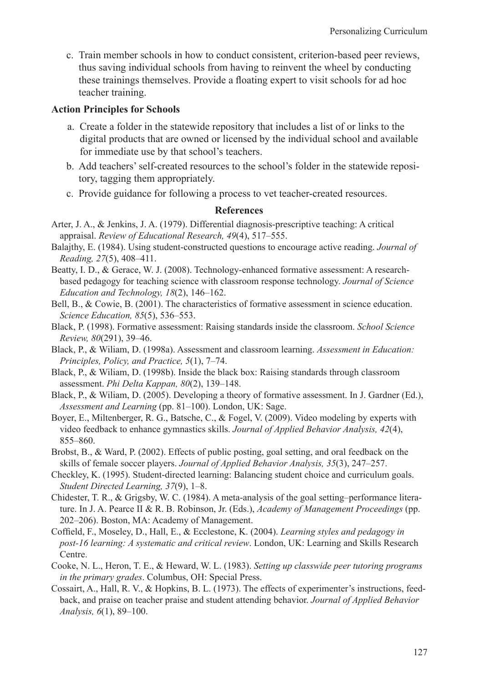c. Train member schools in how to conduct consistent, criterion-based peer reviews, thus saving individual schools from having to reinvent the wheel by conducting these trainings themselves. Provide a floating expert to visit schools for ad hoc teacher training.

# **Action Principles for Schools**

- a. Create a folder in the statewide repository that includes a list of or links to the digital products that are owned or licensed by the individual school and available for immediate use by that school's teachers.
- b. Add teachers' self-created resources to the school's folder in the statewide repository, tagging them appropriately.
- c. Provide guidance for following a process to vet teacher-created resources.

# **References**

- Arter, J. A., & Jenkins, J. A. (1979). Differential diagnosis-prescriptive teaching: A critical appraisal. *Review of Educational Research, 49*(4), 517–555.
- Balajthy, E. (1984). Using student-constructed questions to encourage active reading. *Journal of Reading, 27*(5), 408–411.
- Beatty, I. D., & Gerace, W. J. (2008). Technology-enhanced formative assessment: A researchbased pedagogy for teaching science with classroom response technology. *Journal of Science Education and Technology, 18*(2), 146–162.
- Bell, B., & Cowie, B. (2001). The characteristics of formative assessment in science education. *Science Education, 85*(5), 536–553.
- Black, P. (1998). Formative assessment: Raising standards inside the classroom. *School Science Review, 80*(291), 39–46.
- Black, P., & Wiliam, D. (1998a). Assessment and classroom learning. *Assessment in Education: Principles, Policy, and Practice, 5*(1), 7–74.
- Black, P., & Wiliam, D. (1998b). Inside the black box: Raising standards through classroom assessment. *Phi Delta Kappan, 80*(2), 139–148.
- Black, P., & Wiliam, D. (2005). Developing a theory of formative assessment. In J. Gardner (Ed.), *Assessment and Learning* (pp. 81–100). London, UK: Sage.
- Boyer, E., Miltenberger, R. G., Batsche, C., & Fogel, V. (2009). Video modeling by experts with video feedback to enhance gymnastics skills. *Journal of Applied Behavior Analysis, 42*(4), 855–860.
- Brobst, B., & Ward, P. (2002). Effects of public posting, goal setting, and oral feedback on the skills of female soccer players. *Journal of Applied Behavior Analysis, 35*(3), 247–257.
- Checkley, K. (1995). Student-directed learning: Balancing student choice and curriculum goals. *Student Directed Learning, 37*(9), 1–8.
- Chidester, T. R., & Grigsby, W. C. (1984). A meta-analysis of the goal setting–performance literature. In J. A. Pearce II & R. B. Robinson, Jr. (Eds.), *Academy of Management Proceedings* (pp. 202–206). Boston, MA: Academy of Management.
- Coffield, F., Moseley, D., Hall, E., & Ecclestone, K. (2004). *Learning styles and pedagogy in post-16 learning: A systematic and critical review*. London, UK: Learning and Skills Research Centre.
- Cooke, N. L., Heron, T. E., & Heward, W. L. (1983). *Setting up classwide peer tutoring programs in the primary grades*. Columbus, OH: Special Press.
- Cossairt, A., Hall, R. V., & Hopkins, B. L. (1973). The effects of experimenter's instructions, feedback, and praise on teacher praise and student attending behavior. *Journal of Applied Behavior Analysis, 6*(1), 89–100.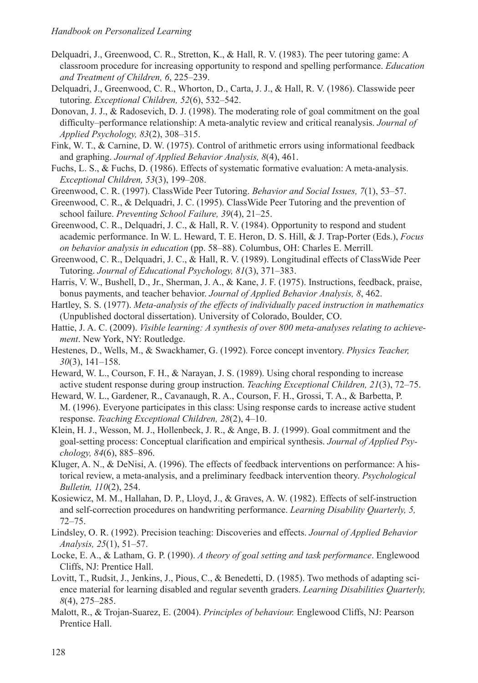- Delquadri, J., Greenwood, C. R., Stretton, K., & Hall, R. V. (1983). The peer tutoring game: A classroom procedure for increasing opportunity to respond and spelling performance. *Education and Treatment of Children, 6*, 225–239.
- Delquadri, J., Greenwood, C. R., Whorton, D., Carta, J. J., & Hall, R. V. (1986). Classwide peer tutoring. *Exceptional Children, 52*(6), 532–542.
- Donovan, J. J., & Radosevich, D. J. (1998). The moderating role of goal commitment on the goal difficulty–performance relationship: A meta-analytic review and critical reanalysis. *Journal of Applied Psychology, 83*(2), 308–315.
- Fink, W. T., & Carnine, D. W. (1975). Control of arithmetic errors using informational feedback and graphing. *Journal of Applied Behavior Analysis, 8*(4), 461.
- Fuchs, L. S., & Fuchs, D. (1986). Effects of systematic formative evaluation: A meta-analysis. *Exceptional Children, 53*(3), 199–208.
- Greenwood, C. R. (1997). ClassWide Peer Tutoring. *Behavior and Social Issues, 7*(1), 53–57.
- Greenwood, C. R., & Delquadri, J. C. (1995). ClassWide Peer Tutoring and the prevention of school failure. *Preventing School Failure, 39*(4), 21–25.
- Greenwood, C. R., Delquadri, J. C., & Hall, R. V. (1984). Opportunity to respond and student academic performance. In W. L. Heward, T. E. Heron, D. S. Hill, & J. Trap-Porter (Eds.), *Focus on behavior analysis in education* (pp. 58–88). Columbus, OH: Charles E. Merrill.
- Greenwood, C. R., Delquadri, J. C., & Hall, R. V. (1989). Longitudinal effects of ClassWide Peer Tutoring. *Journal of Educational Psychology, 81*(3), 371–383.
- Harris, V. W., Bushell, D., Jr., Sherman, J. A., & Kane, J. F. (1975). Instructions, feedback, praise, bonus payments, and teacher behavior. *Journal of Applied Behavior Analysis, 8*, 462.
- Hartley, S. S. (1977). *Meta-analysis of the effects of individually paced instruction in mathematics* (Unpublished doctoral dissertation). University of Colorado, Boulder, CO.
- Hattie, J. A. C. (2009). *Visible learning: A synthesis of over 800 meta-analyses relating to achievement*. New York, NY: Routledge.
- Hestenes, D., Wells, M., & Swackhamer, G. (1992). Force concept inventory. *Physics Teacher, 30*(3), 141–158.
- Heward, W. L., Courson, F. H., & Narayan, J. S. (1989). Using choral responding to increase active student response during group instruction. *Teaching Exceptional Children, 21*(3), 72–75.
- Heward, W. L., Gardener, R., Cavanaugh, R. A., Courson, F. H., Grossi, T. A., & Barbetta, P. M. (1996). Everyone participates in this class: Using response cards to increase active student response. *Teaching Exceptional Children, 28*(2), 4–10.
- Klein, H. J., Wesson, M. J., Hollenbeck, J. R., & Ange, B. J. (1999). Goal commitment and the goal-setting process: Conceptual clarification and empirical synthesis. *Journal of Applied Psychology, 84*(6), 885–896.
- Kluger, A. N., & DeNisi, A. (1996). The effects of feedback interventions on performance: A historical review, a meta-analysis, and a preliminary feedback intervention theory. *Psychological Bulletin, 110*(2), 254.
- Kosiewicz, M. M., Hallahan, D. P., Lloyd, J., & Graves, A. W. (1982). Effects of self-instruction and self-correction procedures on handwriting performance. *Learning Disability Quarterly, 5,* 72–75.
- Lindsley, O. R. (1992). Precision teaching: Discoveries and effects. *Journal of Applied Behavior Analysis, 25*(1), 51–57.
- Locke, E. A., & Latham, G. P. (1990). *A theory of goal setting and task performance*. Englewood Cliffs, NJ: Prentice Hall.
- Lovitt, T., Rudsit, J., Jenkins, J., Pious, C., & Benedetti, D. (1985). Two methods of adapting science material for learning disabled and regular seventh graders. *Learning Disabilities Quarterly, 8*(4), 275–285.
- Malott, R., & Trojan-Suarez, E. (2004). *Principles of behaviour.* Englewood Cliffs, NJ: Pearson Prentice Hall.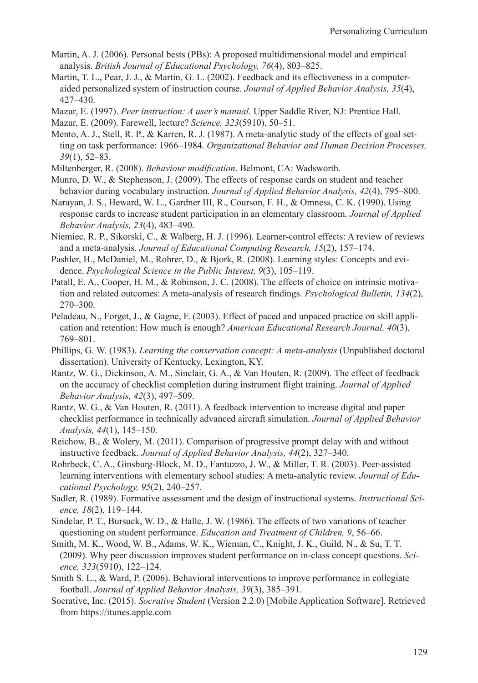- Martin, A. J. (2006). Personal bests (PBs): A proposed multidimensional model and empirical analysis. *British Journal of Educational Psychology, 76*(4), 803–825.
- Martin, T. L., Pear, J. J., & Martin, G. L. (2002). Feedback and its effectiveness in a computeraided personalized system of instruction course. *Journal of Applied Behavior Analysis, 35*(4), 427–430.
- Mazur, E. (1997). *Peer instruction: A user's manual*. Upper Saddle River, NJ: Prentice Hall.
- Mazur, E. (2009). Farewell, lecture? *Science, 323*(5910), 50–51.
- Mento, A. J., Stell, R. P., & Karren, R. J. (1987). A meta-analytic study of the effects of goal setting on task performance: 1966–1984. *Organizational Behavior and Human Decision Processes, 39*(1), 52–83.
- Miltenberger, R. (2008). *Behaviour modification*. Belmont, CA: Wadsworth.
- Munro, D. W., & Stephenson, J. (2009). The effects of response cards on student and teacher behavior during vocabulary instruction. *Journal of Applied Behavior Analysis, 42*(4), 795–800.
- Narayan, J. S., Heward, W. L., Gardner III, R., Courson, F. H., & Omness, C. K. (1990). Using response cards to increase student participation in an elementary classroom. *Journal of Applied Behavior Analysis, 23*(4), 483–490.
- Niemiec, R. P., Sikorski, C., & Walberg, H. J. (1996). Learner-control effects: A review of reviews and a meta-analysis. *Journal of Educational Computing Research, 15*(2), 157–174.
- Pashler, H., McDaniel, M., Rohrer, D., & Bjork, R. (2008). Learning styles: Concepts and evidence. *Psychological Science in the Public Interest, 9*(3), 105–119.
- Patall, E. A., Cooper, H. M., & Robinson, J. C. (2008). The effects of choice on intrinsic motivation and related outcomes: A meta-analysis of research findings. *Psychological Bulletin, 134*(2), 270–300.
- Peladeau, N., Forget, J., & Gagne, F. (2003). Effect of paced and unpaced practice on skill application and retention: How much is enough? *American Educational Research Journal, 40*(3), 769–801.
- Phillips, G. W. (1983). *Learning the conservation concept: A meta-analysis* (Unpublished doctoral dissertation). University of Kentucky, Lexington, KY.
- Rantz, W. G., Dickinson, A. M., Sinclair, G. A., & Van Houten, R. (2009). The effect of feedback on the accuracy of checklist completion during instrument flight training. *Journal of Applied Behavior Analysis, 42*(3), 497–509.
- Rantz, W. G., & Van Houten, R. (2011). A feedback intervention to increase digital and paper checklist performance in technically advanced aircraft simulation. *Journal of Applied Behavior Analysis, 44*(1), 145–150.
- Reichow, B., & Wolery, M. (2011). Comparison of progressive prompt delay with and without instructive feedback. *Journal of Applied Behavior Analysis, 44*(2), 327–340.
- Rohrbeck, C. A., Ginsburg-Block, M. D., Fantuzzo, J. W., & Miller, T. R. (2003). Peer-assisted learning interventions with elementary school studies: A meta-analytic review. *Journal of Educational Psychology, 95*(2), 240–257.
- Sadler, R. (1989). Formative assessment and the design of instructional systems. *Instructional Science, 18*(2), 119–144.
- Sindelar, P. T., Bursuck, W. D., & Halle, J. W. (1986). The effects of two variations of teacher questioning on student performance. *Education and Treatment of Children, 9*, 56–66.
- Smith, M. K., Wood, W. B., Adams, W. K., Wieman, C., Knight, J. K., Guild, N., & Su, T. T. (2009). Why peer discussion improves student performance on in-class concept questions. *Science, 323*(5910), 122–124.
- Smith S. L., & Ward, P. (2006). Behavioral interventions to improve performance in collegiate football. *Journal of Applied Behavior Analysis, 39*(3), 385–391.
- Socrative, Inc. (2015). *Socrative Student* (Version 2.2.0) [Mobile Application Software]. Retrieved from https://itunes.apple.com